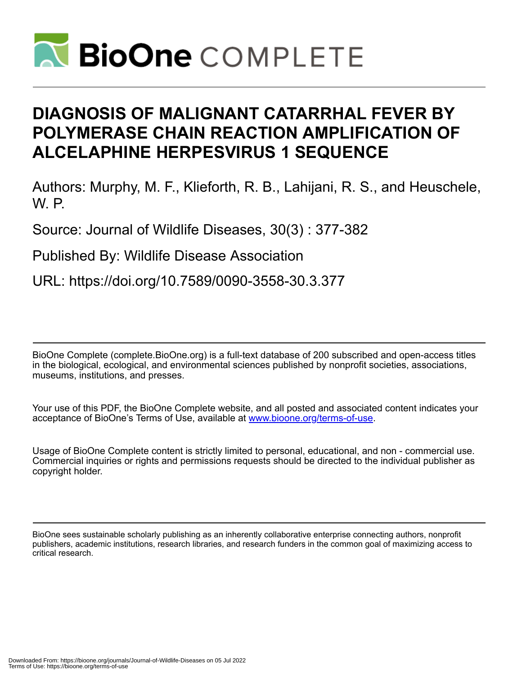

# **DIAGNOSIS OF MALIGNANT CATARRHAL FEVER BY POLYMERASE CHAIN REACTION AMPLIFICATION OF ALCELAPHINE HERPESVIRUS 1 SEQUENCE**

Authors: Murphy, M. F., Klieforth, R. B., Lahijani, R. S., and Heuschele, W. P.

Source: Journal of Wildlife Diseases, 30(3) : 377-382

Published By: Wildlife Disease Association

URL: https://doi.org/10.7589/0090-3558-30.3.377

BioOne Complete (complete.BioOne.org) is a full-text database of 200 subscribed and open-access titles in the biological, ecological, and environmental sciences published by nonprofit societies, associations, museums, institutions, and presses.

Your use of this PDF, the BioOne Complete website, and all posted and associated content indicates your acceptance of BioOne's Terms of Use, available at www.bioone.org/terms-of-use.

Usage of BioOne Complete content is strictly limited to personal, educational, and non - commercial use. Commercial inquiries or rights and permissions requests should be directed to the individual publisher as copyright holder.

BioOne sees sustainable scholarly publishing as an inherently collaborative enterprise connecting authors, nonprofit publishers, academic institutions, research libraries, and research funders in the common goal of maximizing access to critical research.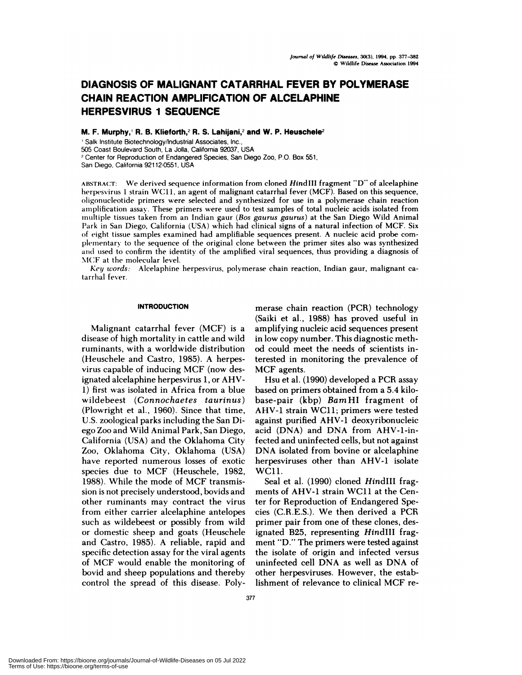## **DIAGNOSIS OF MALIGNANT CATARRHAL FEVER BY POLYMERASE CHAIN REACTION AMPLIFICATION OF ALCELAPHINE HERPESVIRUS 1 SEQUENCE**

**M. F. Murphy,' R. B. Klieforth,2 R.** S. Lahijani,2 **and W. P. Heuschele2**

Salk Institute Biotechnology/Industrial Associates, Inc., 505 Coast Boulevard South, La Jolla, California 92037, USA

<sup>2</sup> Center for Reproduction of Endangered Species, San Diego Zoo, P.O. Box 551,

San Diego, California 92112-0551, USA

**ABSTRACT:** We derived sequence information from cloned Hind III fragment "D" of alcelaphine herpesvirus 1 strain WC11, an agent of malignant catarrhal fever (MCF). Based on this sequence, oligonucleotide primers were selected and synthesized for use in a polymerase chain reaction amplification assay. These primers were used to test samples of total nucleic acids isolated from multiple tissues taken from an Indian gaur *(Bos gaurus gaurus)* at the San Diego Wild Animal Park in San Diego, California (USA) which had clinical signs of a natural infection of MCF. Six of eight tissue samples examined had amplifiable sequences present. A nucleic acid probe com plementary to the sequence of the original clone between the primer sites also was synthesized and used to confirm the identity of the amplified viral sequences, thus providing a diagnosis of MCF at the molecular level.

*Key words:* Alcelaphine herpesvirus, polymerase chain reaction, Indian gaur, malignant catarrhal fever.

## **INTRODUCTION**

Malignant catarrhal fever (MCF) is a disease of high mortality in cattle and wild ruminants, with a worldwide distribution (Heuschele and Castro, 1985). A herpesvirus capable of inducing MCF (now designated alcelaphine herpesvirus 1, or AHV-1) first was isolated in Africa from a blue wildebeest *(Connochaetes taurinus)* (Plownight et al., 1960). Since that time, U.S. zoological parks including the San Diego Zoo and Wild Animal Park, San Diego, California (USA) and the Oklahoma City Zoo, Oklahoma City, Oklahoma (USA) have reported numerous losses of exotic species due to MCF (Heuschele, 1982, 1988). While the mode of MCF transmission is not precisely understood, bovids and other ruminants may contract the virus from either carrier alcelaphine antelopes such as wildebeest or possibly from wild or domestic sheep and goats (Heuschele and Castro, 1985). A reliable, rapid and specific detection assay for the viral agents of MCF would enable the monitoring of bovid and sheep populations and thereby control the spread of this disease. Poly-

menase chain reaction (PCR) technology (Saiki et al., 1988) has proved useful in amplifying nucleic acid sequences present in low copy number. This diagnostic method could meet the needs of scientists interested in monitoring the prevalence of MCF agents.

Hsu et al. (1990) developed a PCR assay based on primers obtained from a 5.4 kilobase-pair (kbp) *Barn* HI fragment of AHV-1 strain WC11; primers were tested against purified AHV-1 deoxyribonucleic acid (DNA) and DNA from AHV-1-infected and uninfected cells, but not against DNA isolated from bovine or alcelaphine herpesviruses other than AHV-1 isolate WC11.

Seal et al. (1990) cloned HindIII fragments of AHV-1 strain WC11 at the Center for Reproduction of Endangered Species (C.R.E.S.). We then derived a PCR primer pain from one of these clones, designated B25, representing HindilI fragment "D." The primers were tested against the isolate of origin and infected versus uninfected cell DNA as well as DNA of other henpesviruses. However, the establishment of relevance to clinical MCF re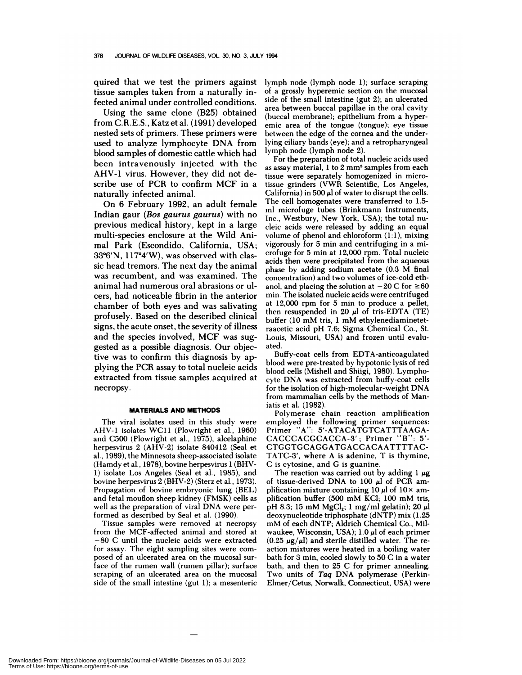quired that we test the primers against tissue samples taken from a naturally infected animal under controlled conditions.

Using the same clone (B25) obtained from C.R.E.S., Katz et al. (1991) developed nested sets of primers. These primers were used to analyze lymphocyte DNA from blood samples of domestic cattle which had been intravenously injected with the AHV-1 virus. However, they did not describe use of PCR to confirm MCF in a naturally infected animal.

On 6 February 1992, an adult female Indian gaur *(Bos gaurus gaurus)* with no previous medical history, kept in a large multi-species enclosure at the Wild Animal Park (Escondido, California, USA;  $33^{\circ}6'$ N,  $117^{\circ}4'$ W), was observed with classic head tremors. The next day the animal was recumbent, and was examined. The animal had numerous oral abrasions on ulcers, had noticeable fibrin in the anterior chamber of both eyes and was salivating profusely. Based on the described clinical signs, the acute onset, the severity of illness and the species involved, MCF was suggested as a possible diagnosis. Our objective was to confirm this diagnosis by applying the PCR assay to total nucleic acids extracted from tissue samples acquired at necropsy.

## **MATERIALS AND METHODS**

The viral isolates used in this study were AHV-1 isolates WCI1 (Plowright et al., 1960) and C500 (Plowright et a!., 1975), alcelaphine herpesvirus 2 (AHV-2) isolate 840412 (Seal et a!., 1989), the Minnesota sheep-associated isolate (Hamdy et al., 1978), bovine herpesvirus 1 (BHV-1) isolate Los Angeles (Seal et a!., 1985), and bovine herpesvirus 2 (BHV-2) (Sterz et al., 1973). Propagation of bovine embryonic lung (BEL) and fetal mouflon sheep kidney (FMSK) cells as well as the preparation of viral DNA were performed as described by Seal et al. (1990).

Tissue samples were removed at necropsy from the MCF-affected animal and stored at -80 **C** until the nucleic acids were extracted for assay. The eight sampling sites were com posed of an ulcerated area on the mucosal surface of the rumen wall (rumen pillar); surface scraping of an ulcerated area on the mucosal side of the small intestine (gut 1); a mesenteric

lymph node (lymph node 1); surface scraping of a grossly hyperemic section on the mucosal side of the small intestine (gut 2); an ulcerated area between buccal papillae in the oral cavity (buccal membrane); epithelium from a hyper emic area of the tongue (tongue); eye tissue between the edge of the cornea and the underlying ciliary bands (eye); and a retropharyngeal lymph node (lymph node 2).

For the preparation of total nucleic acids used as assay material, 1 to 2 mm<sup>3</sup> samples from each tissue were separately homogenized in microtissue grinders (VWR Scientific, Los Angeles, California) in 500  $\mu$  of water to disrupt the cells. The cell homogenates were transferred to 1.5 ml microfuge tubes (Brinkmann Instruments, Inc., Westbury, New York, USA); the total nu cleic acids were released by adding an equal volume of phenol and chloroform  $(1:1)$ , mixing vigorously for 5 min and centrifuging in a microfuge for 5 min at 12,000 rpm. Total nucleic acids then were precipitated from the aqueous phase by adding sodium acetate (0.3 M final concentration) and two volumes of ice-cold ethanol, and placing the solution at  $-20 \text{ C}$  for  $\geq 60$ min. The isolated nucleic acids were centrifuged at 12,000 rpm for 5 min to produce a pellet, then resuspended in 20  $\mu$ l of tris-EDTA (TE) buffer (10 mM tris, 1 mM ethylenediaminetetraacetic acid pH 7.6; Sigma Chemical Co., St. Louis, Missouri, USA) and frozen until evaluated.

Buffy-coat cells from EDTA-anticoagulated blood were pre-treated by hypotonic lysis of red blood cells (Mishell and Shiigi, 1980). Lymphocyte DNA was extracted from buffy-coat cells for the isolation of high-molecular-weight DNA from mammalian cells by the methods of Maniatis et al. (1982).

Polymerase chain reaction amplification employed the following primer sequences: Primer "A": 5'-ATACATGTCATTTAAGA-**CACCCACGCACCA-3';** Primer "B": 5'- **CTGGTGCAGGATGACCACAATTTTAC- TATC-3',** where **A** is adenine, T is thymine, C is cytosine, and C is guanine.

The reaction was carried out by adding  $1 \mu$ g of tissue-derived DNA to 100  $\mu$ l of PCR amplification mixture containing 10  $\mu$ l of 10  $\times$  amplification buffer (500 mM KC1; 100 mM tris, pH 8.3; 15 mM  $MgCl<sub>2</sub>$ ; 1 mg/ml gelatin); 20  $\mu$ l deoxynucleotide triphosphate (dNTP) mix (1.25 mM of each dNTP; Aldrich Chemical Co., Milwaukee, Wisconsin, USA);  $1.0 \mu l$  of each primer  $(0.25 \mu g/\mu l)$  and sterile distilled water. The reaction mixtures were heated in a boiling water bath for 3 min, cooled slowly to  $50 C$  in a water bath, and then to 25 C for primer annealing. Two units of *Taq* DNA polymerase (Perkin-Elmer/Cetus, Norwalk, Connecticut, USA) were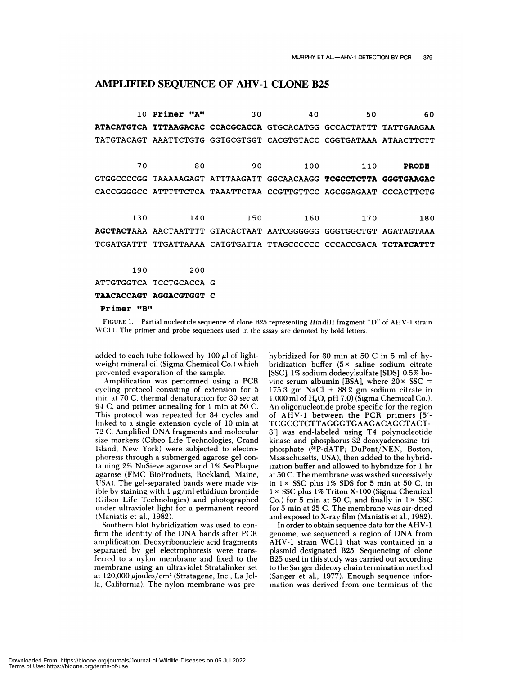## AMPLIFIED SEQUENCE OF AHV-1 CLONE B25

**10 Primer "A" 30** 40 50 60 **ATACATGTCA TTTAAGACAC CCACGCACCA** GTGCACATGG GCCACTATTT TATTGAAGAA TATGTACAGT AAATTCTGTG GGTGCGTGGT CACGTGTACC CGGTGATAAA ATAACTTCTT 70 80 90 100 110 **PROBE** GTGGCCCCGG TAAAAAGAGT ATTTAAGATT GGCAACAAGG TCGCCTCTTA **GGGTGAAGAC** CACCGGGGCC ATTTTTCTCA TAAATTCTAA CCGTTGTTCC AGCGGAGAAT CCCACTTCTG AGCTACTAAA AACTAATTTT GTACACTAAT AATCGGGGGG GGGTGGCTGT AGATAGTAAA TCGATGATTT TTGATTAAAA CATGTGATTA TTAGCCCCCC CCCACCGACA TCTATCATTT 130 140 150 160 170 180 190 200 ATTGTGGTCA TCCTGCACCA C TAACACCAGT AGGACGTGGT C

Primer "B"

FIGURE 1. Partial nucleotide sequence of clone B25 representing Hin dill fragment "D" of AHV-1 strain WC11. The primer and probe sequences used in the assay are denoted by bold letters.

added to each tube followed by 100  $\mu$ l of lightweight mineral oil (Sigma Chemical Co.) which prevented evaporation of the sample.

Amplification was performed using a PCR cycling protocol consisting of extension for 5 min at 70 C, thermal denaturation for 30 sec at 94 C, and primer annealing for 1 min at 50 C. This protocol was repeated for 34 cycles and linked to a single extension cycle of 10 min at 72 C. Amplified DNA fragments and molecular size markers (Gibco Life Technologies, Grand Island, New York) were subjected to electrophoresis through a submerged agarose gel containing 2% NuSieve agarose and 1% SeaPlaque agarose (FMC BioProducts, Rockland, Maine, USA). The gel-separated bands were made visible by staining with  $1 \mu g/ml$  ethidium bromide (Cibco Life Technologies) and photographed under ultraviolet light for a permanent record (Nlaniatis et al., 1982).

Southern blot hybridization was used to confirm the identity of the DNA bands after PCR amplification. Deoxyribonucleic acid fragments separated by gel electrophoresis were transferred to a nylon membrane and fixed to the membrane using an ultraviolet Stratalinker set at 120,000 µjoules/cm<sup>2</sup> (Stratagene, Inc., La Jolla, California). The nylon membrane was prehybridized for 30 min at 50 C in 5 ml of hybridization buffer  $(5 \times$  saline sodium citrate [SSC], 1% sodium dodecylsulf ate [SDS], 0.5% bovine serum albumin [BSA], where  $20 \times SSC =$ 175.3 gm NaCl  $+$  88.2 gm sodium citrate in  $1,000$  ml of H<sub>2</sub>O, pH 7.0) (Sigma Chemical Co.). An oligonucleotide probe specific for the region of AHV-l between the PCR primers [5'- **TCGCCTCTTAGGGTGAAGACAGCTACT-** 3'] was end-labeled using T4 polynucleotide kinase and phosphorus-32-deoxyadenosine tn phosphate (32P-dATP; DuPont/NEN, Boston, Massachusetts, USA), then added to the hybridization buffer and allowed to hybridize for 1 hr at 50 C. The membrane was washed successively in  $1 \times$  SSC plus 1% SDS for 5 min at 50 C, in 1 x SSC plus 1% Triton **X-100** (Sigma Chemical Co.) for 5 min at 50 C, and finally in  $1 \times SSC$ for 5 min at 25 C. The membrane was air-dried and exposed to X-ray film (Maniatis et al., 1982).

In order to obtain sequence data for the AHV-1 genome, we sequenced a region of DNA from AHV-l strain WC11 that was contained in a plasmid designated B25. Sequencing of clone B25 used in this study was carried out according to the Sanger dideoxy chain termination method (Sanger et a!., 1977). Enough sequence information was derived from one terminus of the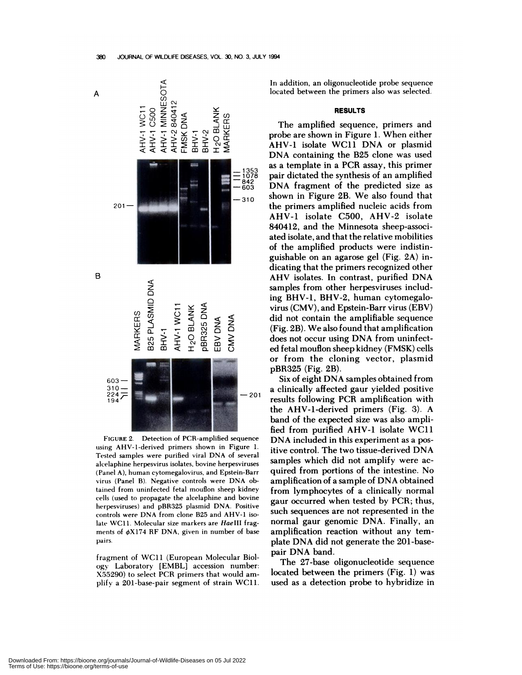

FIGURE 2. Detection of PCR-amplified sequence using AHV-1-derived primers shown in Figure 1. Tested samples were purified viral DNA of several alcelaphine herpesvirus isolates, bovine herpesviruses (Panel A), human cytomegalovirus, and Epstein-Barr virus (Panel B). Negative controls were DNA obtained from uninfected fetal mouflon sheep kidney cells (used to propagate the alcelaphine and bovine herpesviruses) and pBR325 plasmid DNA. Positive controls were DNA from clone B25 and AHV-1 isolate WC11. Molecular size markers are HaeIII frag ments of  $\phi$ X174 RF DNA, given in number of base pairs.

fragment of WC11 (European Molecular Biology Laboratory [EMBL] accession number: X55290) to select PCR primers that would am plify a 201-base-pair segment of strain WC11.

In addition, an oligonucleotide probe sequence located between the primers also was selected.

## **RESULTS**

The amplified sequence, primers and probe are shown in Figure 1. When either AHV-1 isolate WC11 DNA or plasmid DNA containing the B25 clone was used as a template in a PCR assay, this primer pair dictated the synthesis of an amplified DNA fragment of the predicted size as shown in Figure 2B. We also found that the primers amplified nucleic acids from AHV-1 isolate C500, AHV-2 isolate 840412, and the Minnesota sheep-associated isolate, and that the relative mobilities of the amplified products were indistinguishable on an agarose gel (Fig. 2A) indicating that the primers recognized other **AHV isolates. In contrast, purified DNA** samples from other herpesviruses including BHV-1, BHV-2, human cytomegalovirus (CMV), and Epstein-Barn virus (EBV) did not contain the amplifiable sequence (Fig. 2B). We also found that amplification does not occur using DNA from uninfected fetal mouflon sheep kidney (FMSK) cells or from the cloning vector, plasmid pBR325 (Fig. 2B).

Six of eight DNA samples obtained from a clinically affected gaur yielded positive<br>- 201 **angula following PCP** results following PCR amplification with the AHV-1-denived primers (Fig. 3). A band of the expected size was also amplified from purified AHV-1 isolate WC11 DNA included in this experiment as a positive control. The two tissue-derived DNA samples which did not amplify were ac quired from portions of the intestine. No amplification of a sample of DNA obtained from lymphocytes of a clinically normal gaun occurred when tested by PCR; thus, such sequences are not represented in the normal gaur genomic DNA. Finally, an amplification reaction without any template DNA did not generate the 201-basepair DNA band.

> The 27-base oligonucleotide sequence located between the primers (Fig. 1) was used as a detection probe to hybridize in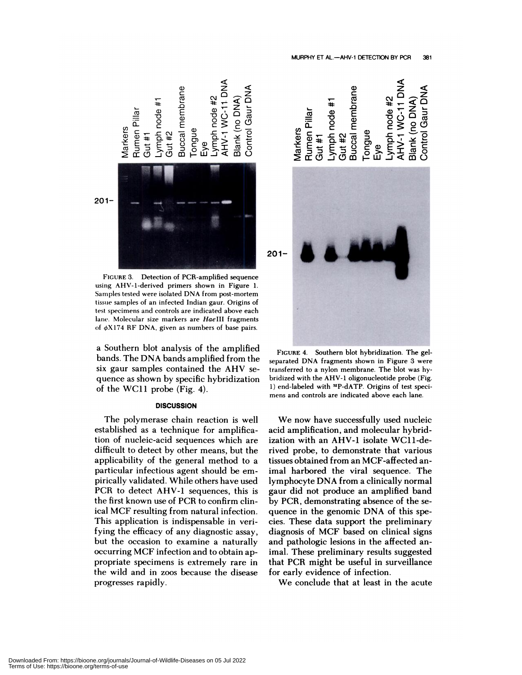

FIGURE 3. Detection of PCR-amplified sequence using AHV-1-denived primers shown in Figure 1. Samples tested were isolated DNA from post-mortem tissue samples of an infected Indian gaur. Origins of test specimens and controls are indicated above each lane. Molecular size markers are HaeIII fragments of  $\phi$ X174 RF DNA, given as numbers of base pairs.

a Southern blot analysis of the amplified bands. The DNA bands amplified from the six gaun samples contained the AHV se quence as shown by specific hybridization of the WC11 probe (Fig. 4).

## **DISCUSSION**

The polymenase chain reaction is well established as a technique for amplification of nucleic-acid sequences which are difficult to detect by other means, but the applicability of the general method to a particular infectious agent should be em pirically validated. While others have used PCR to detect AHV-1 sequences, this is the first known use of PCR to confirm clinical MCF resulting from natural infection. This application is indispensable in verifying the efficacy of any diagnostic assay, but the occasion to examine a naturally occurring MCF infection and to obtain appropriate specimens is extremely rare in the wild and in zoos because the disease progresses rapidly.



**FIGURE** 4. Southern blot hybridization. The gelseparated DNA fragments shown in Figure 3 were transferred to a nylon membrane. The blot was hy bridized with the AHV-1 oligonucleotide probe (Fig. 1) end-labeled with 32P-dATP. Origins of test speci mens and controls are indicated above each lane.

We now have successfully used nucleic acid amplification, and molecular hybridization with an AHV-1 isolate WC11-derived probe, to demonstrate that various tissues obtained from an MCF-affected animal harbored the viral sequence. The lymphocyte DNA from a clinically normal gaun did not produce an amplified band by PCR, demonstrating absence of the sequence in the genomic DNA of this species. These data support the preliminary diagnosis of MCF based on clinical signs and pathologic lesions in the affected animal. These preliminary results suggested that PCR might be useful in surveillance for early evidence of infection.

We conclude that at least in the acute